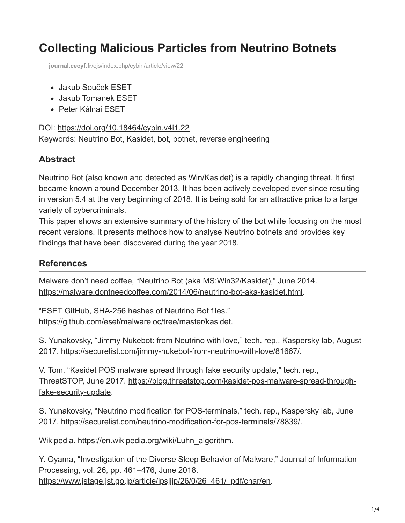## **Collecting Malicious Particles from Neutrino Botnets**

**journal.cecyf.fr**[/ojs/index.php/cybin/article/view/22](https://journal.cecyf.fr/ojs/index.php/cybin/article/view/22)

- Jakub Souček ESET
- Jakub Tomanek ESET
- Peter Kálnai ESET

## DOI: <https://doi.org/10.18464/cybin.v4i1.22>

Keywords: Neutrino Bot, Kasidet, bot, botnet, reverse engineering

## **Abstract**

Neutrino Bot (also known and detected as Win/Kasidet) is a rapidly changing threat. It first became known around December 2013. It has been actively developed ever since resulting in version 5.4 at the very beginning of 2018. It is being sold for an attractive price to a large variety of cybercriminals.

This paper shows an extensive summary of the history of the bot while focusing on the most recent versions. It presents methods how to analyse Neutrino botnets and provides key findings that have been discovered during the year 2018.

## **References**

Malware don't need coffee, "Neutrino Bot (aka MS:Win32/Kasidet)," June 2014. [https://malware.dontneedcoffee.com/2014/06/neutrino-bot-aka-kasidet.html.](https://malware.dontneedcoffee.com/2014/06/neutrino-bot-aka-kasidet.html)

"ESET GitHub, SHA-256 hashes of Neutrino Bot files." <https://github.com/eset/malwareioc/tree/master/kasidet>.

S. Yunakovsky, "Jimmy Nukebot: from Neutrino with love," tech. rep., Kaspersky lab, August 2017.<https://securelist.com/jimmy-nukebot-from-neutrino-with-love/81667/>.

V. Tom, "Kasidet POS malware spread through fake security update," tech. rep., [ThreatSTOP, June 2017. https://blog.threatstop.com/kasidet-pos-malware-spread-through](https://blog.threatstop.com/kasidet-pos-malware-spread-through-fake-security-update)fake-security-update.

S. Yunakovsky, "Neutrino modification for POS-terminals," tech. rep., Kaspersky lab, June 2017. [https://securelist.com/neutrino-modification-for-pos-terminals/78839/.](https://securelist.com/neutrino-modification-for-pos-terminals/78839/)

Wikipedia. [https://en.wikipedia.org/wiki/Luhn\\_algorithm.](https://en.wikipedia.org/wiki/Luhn_algorithm)

Y. Oyama, "Investigation of the Diverse Sleep Behavior of Malware," Journal of Information Processing, vol. 26, pp. 461–476, June 2018. [https://www.jstage.jst.go.jp/article/ipsjjip/26/0/26\\_461/\\_pdf/char/en.](https://www.jstage.jst.go.jp/article/ipsjjip/26/0/26_461/_pdf/char/en)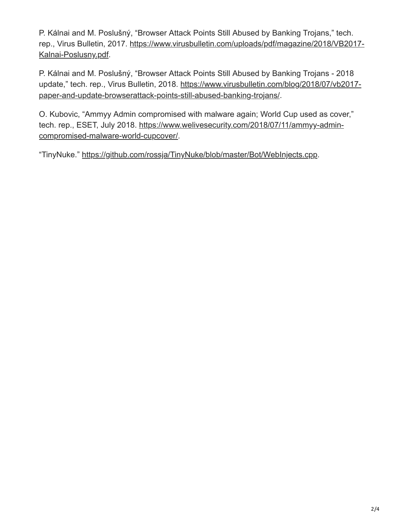P. Kálnai and M. Poslušný, "Browser Attack Points Still Abused by Banking Trojans," tech. [rep., Virus Bulletin, 2017. https://www.virusbulletin.com/uploads/pdf/magazine/2018/VB2017-](https://www.virusbulletin.com/uploads/pdf/magazine/2018/VB2017-Kalnai-Poslusny.pdf) Kalnai-Poslusny.pdf.

P. Kálnai and M. Poslušný, "Browser Attack Points Still Abused by Banking Trojans - 2018 [update," tech. rep., Virus Bulletin, 2018. https://www.virusbulletin.com/blog/2018/07/vb2017](https://www.virusbulletin.com/blog/2018/07/vb2017-paper-and-update-browserattack-points-still-abused-banking-trojans/) paper-and-update-browserattack-points-still-abused-banking-trojans/.

O. Kubovic, "Ammyy Admin compromised with malware again; World Cup used as cover," [tech. rep., ESET, July 2018. https://www.welivesecurity.com/2018/07/11/ammyy-admin](https://www.welivesecurity.com/2018/07/11/ammyy-admin-compromised-malware-world-cupcover/)compromised-malware-world-cupcover/.

"TinyNuke." <https://github.com/rossja/TinyNuke/blob/master/Bot/WebInjects.cpp>.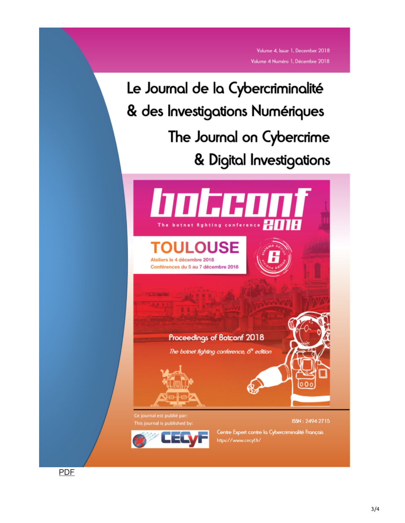Volume 4, Issue 1, December 2018 Volume 4 Numéro 1, Décembre 2018